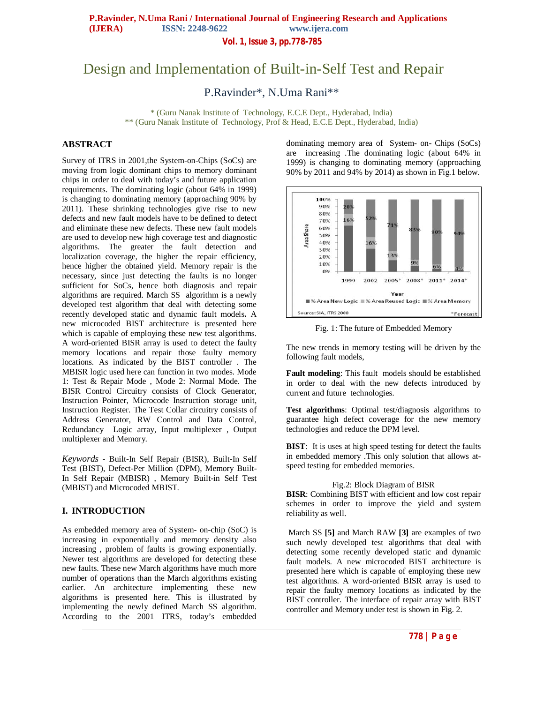**Vol. 1, Issue 3, pp.778-785**

# Design and Implementation of Built-in-Self Test and Repair

P.Ravinder\*, N.Uma Rani\*\*

\* (Guru Nanak Institute of Technology, E.C.E Dept., Hyderabad, India) \*\* (Guru Nanak Institute of Technology, Prof & Head, E.C.E Dept., Hyderabad, India)

# **ABSTRACT**

Survey of ITRS in 2001,the System-on-Chips (SoCs) are moving from logic dominant chips to memory dominant chips in order to deal with today's and future application requirements. The dominating logic (about 64% in 1999) is changing to dominating memory (approaching 90% by 2011). These shrinking technologies give rise to new defects and new fault models have to be defined to detect and eliminate these new defects. These new fault models are used to develop new high coverage test and diagnostic algorithms. The greater the fault detection and localization coverage, the higher the repair efficiency, hence higher the obtained yield. Memory repair is the necessary, since just detecting the faults is no longer sufficient for SoCs, hence both diagnosis and repair algorithms are required. March SS algorithm is a newly developed test algorithm that deal with detecting some recently developed static and dynamic fault models**.** A new microcoded BIST architecture is presented here which is capable of employing these new test algorithms. A word-oriented BISR array is used to detect the faulty memory locations and repair those faulty memory locations. As indicated by the BIST controller . The MBISR logic used here can function in two modes. Mode 1: Test & Repair Mode , Mode 2: Normal Mode. The BISR Control Circuitry consists of Clock Generator, Instruction Pointer, Microcode Instruction storage unit, Instruction Register. The Test Collar circuitry consists of Address Generator, RW Control and Data Control, Redundancy Logic array, Input multiplexer , Output multiplexer and Memory.

*Keywords* - Built-In Self Repair (BISR), Built-In Self Test (BIST), Defect-Per Million (DPM), Memory Built-In Self Repair (MBISR) , Memory Built-in Self Test (MBIST) and Microcoded MBIST.

# **I. INTRODUCTION**

As embedded memory area of System- on-chip (SoC) is increasing in exponentially and memory density also increasing , problem of faults is growing exponentially. Newer test algorithms are developed for detecting these new faults. These new March algorithms have much more number of operations than the March algorithms existing earlier. An architecture implementing these new algorithms is presented here. This is illustrated by implementing the newly defined March SS algorithm. According to the 2001 ITRS, today's embedded

dominating memory area of System- on- Chips (SoCs) are increasing .The dominating logic (about 64% in 1999) is changing to dominating memory (approaching 90% by 2011 and 94% by 2014) as shown in Fig.1 below.



Fig. 1: The future of Embedded Memory

The new trends in memory testing will be driven by the following fault models,

**Fault modeling**: This fault models should be established in order to deal with the new defects introduced by current and future technologies.

**Test algorithms**: Optimal test/diagnosis algorithms to guarantee high defect coverage for the new memory technologies and reduce the DPM level.

**BIST**: It is uses at high speed testing for detect the faults in embedded memory .This only solution that allows atspeed testing for embedded memories.

#### Fig.2: Block Diagram of BISR

**BISR**: Combining BIST with efficient and low cost repair schemes in order to improve the yield and system reliability as well.

March SS **[5]** and March RAW **[3]** are examples of two such newly developed test algorithms that deal with detecting some recently developed static and dynamic fault models. A new microcoded BIST architecture is presented here which is capable of employing these new test algorithms. A word-oriented BISR array is used to repair the faulty memory locations as indicated by the BIST controller. The interface of repair array with BIST controller and Memory under test is shown in Fig. 2.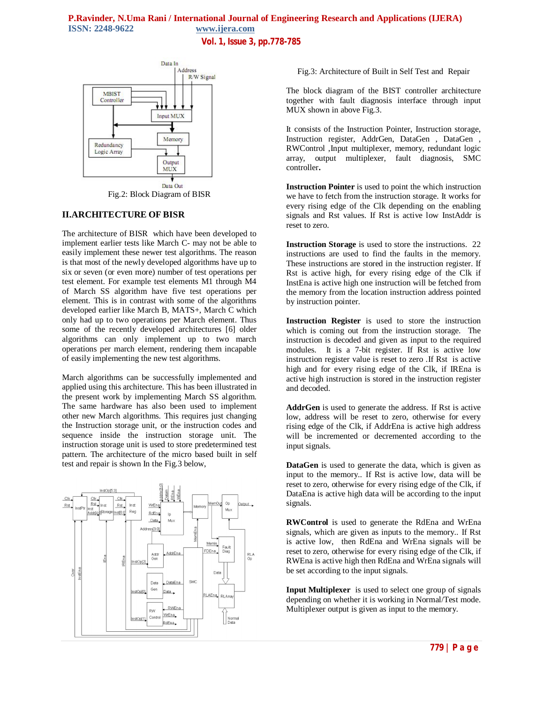# **P.Ravinder, N.Uma Rani / International Journal of Engineering Research and Applications (IJERA) ISSN: 2248-9622 www.ijera.com Vol. 1, Issue 3, pp.778-785**



Fig.2: Block Diagram of BISR

# **II.ARCHITECTURE OF BISR**

The architecture of BISR which have been developed to implement earlier tests like March C- may not be able to easily implement these newer test algorithms. The reason is that most of the newly developed algorithms have up to six or seven (or even more) number of test operations per test element. For example test elements M1 through M4 of March SS algorithm have five test operations per element. This is in contrast with some of the algorithms developed earlier like March B, MATS+, March C which only had up to two operations per March element. Thus some of the recently developed architectures [6] older algorithms can only implement up to two march operations per march element, rendering them incapable of easily implementing the new test algorithms.

March algorithms can be successfully implemented and applied using this architecture. This has been illustrated in the present work by implementing March SS algorithm. The same hardware has also been used to implement other new March algorithms. This requires just changing the Instruction storage unit, or the instruction codes and sequence inside the instruction storage unit. The instruction storage unit is used to store predetermined test pattern. The architecture of the micro based built in self test and repair is shown In the Fig.3 below,



Fig.3: Architecture of Built in Self Test and Repair

The block diagram of the BIST controller architecture together with fault diagnosis interface through input MUX shown in above Fig*.*3.

It consists of the Instruction Pointer, Instruction storage, Instruction register, AddrGen, DataGen , DataGen , RWControl ,Input multiplexer, memory, redundant logic array, output multiplexer, fault diagnosis, SMC controller**.** 

**Instruction Pointer** is used to point the which instruction we have to fetch from the instruction storage. It works for every rising edge of the Clk depending on the enabling signals and Rst values. If Rst is active low InstAddr is reset to zero.

**Instruction Storage** is used to store the instructions. 22 instructions are used to find the faults in the memory. These instructions are stored in the instruction register. If Rst is active high, for every rising edge of the Clk if InstEna is active high one instruction will be fetched from the memory from the location instruction address pointed by instruction pointer.

**Instruction Register** is used to store the instruction which is coming out from the instruction storage. The instruction is decoded and given as input to the required modules. It is a 7-bit register. If Rst is active low instruction register value is reset to zero .If Rst is active high and for every rising edge of the Clk, if IREna is active high instruction is stored in the instruction register and decoded.

**AddrGen** is used to generate the address. If Rst is active low, address will be reset to zero, otherwise for every rising edge of the Clk, if AddrEna is active high address will be incremented or decremented according to the input signals.

**DataGen** is used to generate the data, which is given as input to the memory.. If Rst is active low, data will be reset to zero, otherwise for every rising edge of the Clk, if DataEna is active high data will be according to the input signals.

**RWControl** is used to generate the RdEna and WrEna signals, which are given as inputs to the memory.. If Rst is active low, then RdEna and WrEna signals will be reset to zero, otherwise for every rising edge of the Clk, if RWEna is active high then RdEna and WrEna signals will be set according to the input signals.

**Input Multiplexer** is used to select one group of signals depending on whether it is working in Normal/Test mode. Multiplexer output is given as input to the memory.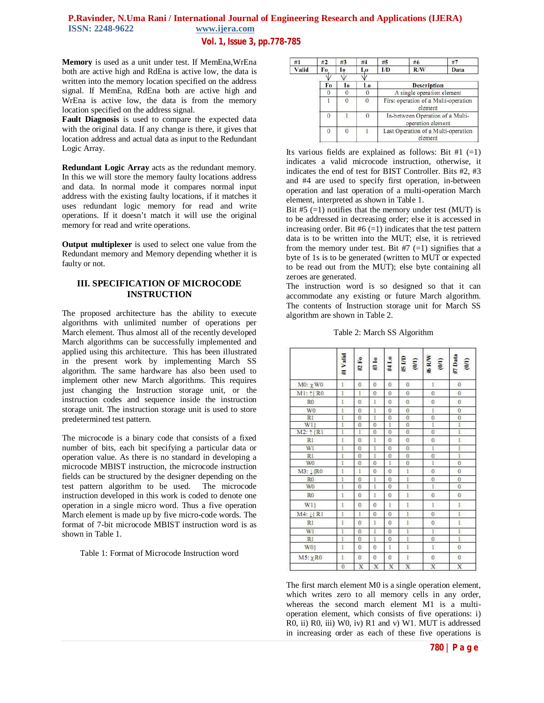# **P.Ravinder, N.Uma Rani** / **International Journal of Engineering Research and Applications (IJERA) ISSN**: 2248-9622 **www.ijera.com** www.ijera.com **Vol. 1, Issue 3, pp.778-785**

**Memory** is used as a unit under test. If MemEna,WrEna both are active high and RdEna is active low, the data is written into the memory location specified on the address signal. If MemEna, RdEna both are active high and WrEna is active low, the data is from the memory location specified on the address signal.

**Fault Diagnosis** is used to compare the expected data with the original data. If any change is there, it gives that location address and actual data as input to the Redundant Logic Array.

**Redundant Logic Array** acts as the redundant memory. In this we will store the memory faulty locations address and data. In normal mode it compares normal input address with the existing faulty locations, if it matches it uses redundant logic memory for read and write operations. If it doesn't match it will use the original memory for read and write operations.

**Output multiplexer** is used to select one value from the Redundant memory and Memory depending whether it is faulty or not.

# **III. SPECIFICATION OF MICROCODE INSTRUCTION**

The proposed architecture has the ability to execute algorithms with unlimited number of operations per March element. Thus almost all of the recently developed March algorithms can be successfully implemented and applied using this architecture. This has been illustrated in the present work by implementing March SS algorithm. The same hardware has also been used to implement other new March algorithms. This requires just changing the Instruction storage unit, or the instruction codes and sequence inside the instruction storage unit. The instruction storage unit is used to store predetermined test pattern.

The microcode is a binary code that consists of a fixed number of bits, each bit specifying a particular data or operation value. As there is no standard in developing a microcode MBIST instruction, the microcode instruction fields can be structured by the designer depending on the test pattern algorithm to be used. The microcode instruction developed in this work is coded to denote one operation in a single micro word. Thus a five operation March element is made up by five micro-code words. The format of 7-bit microcode MBIST instruction word is as shown in Table 1.

Table 1: Format of Microcode Instruction word

| #1    | #2       | #3             | #4               | #5                                              | #6                                                    | #7   |  |
|-------|----------|----------------|------------------|-------------------------------------------------|-------------------------------------------------------|------|--|
| Valid | Fo       | I0             | Lo               | I/D                                             | R/W                                                   | Data |  |
|       |          |                |                  |                                                 |                                                       |      |  |
|       | Fo       | Io             | Lo               |                                                 | <b>Description</b>                                    |      |  |
|       |          |                |                  | A single operation element                      |                                                       |      |  |
|       |          |                | $\theta$         | First operation of a Multi-operation<br>element |                                                       |      |  |
|       | 0        |                | $\boldsymbol{0}$ |                                                 | In-between Operation of a Multi-<br>operation element |      |  |
|       | $\theta$ | $\overline{0}$ |                  |                                                 | Last Operation of a Multi-operation<br>element        |      |  |

Its various fields are explained as follows: Bit  $#1 (=1)$ indicates a valid microcode instruction, otherwise, it indicates the end of test for BIST Controller. Bits #2, #3 and #4 are used to specify first operation, in-between operation and last operation of a multi-operation March element, interpreted as shown in Table 1.

Bit  $#5$  (=1) notifies that the memory under test (MUT) is to be addressed in decreasing order; else it is accessed in increasing order. Bit  $#6 (=1)$  indicates that the test pattern data is to be written into the MUT; else, it is retrieved from the memory under test. Bit  $#7 (=1)$  signifies that a byte of 1s is to be generated (written to MUT or expected to be read out from the MUT); else byte containing all zeroes are generated.

The instruction word is so designed so that it can accommodate any existing or future March algorithm. The contents of Instruction storage unit for March SS algorithm are shown in Table 2.

|                     | #I Valid       | #2 Fo          | #3 1o          | #4 Lo          | d/l S#<br>$\overline{6}$ | $\#$ R/W<br>(0,0) | #7 Data<br>(0/1) |
|---------------------|----------------|----------------|----------------|----------------|--------------------------|-------------------|------------------|
| $M0: \chi W0$       | Ľ              | $\overline{0}$ | $\Omega$       | 0              | $\theta$                 | r                 | $\theta$         |
| M1: 1{R0            | ï              | r              | $\Omega$       | 0              | $\mathbf{0}$             | $\bf{0}$          | $\bf{0}$         |
| R <sub>0</sub>      | I              | $\theta$       | 1              | $\alpha$       | $\overline{0}$           | $\alpha$          | $\mathbf{0}$     |
| W <sub>0</sub>      | Ï              | $\theta$       | ī              | 0              | $\overline{0}$           | ľ                 | $\overline{0}$   |
| R1                  | Ī              | $\overline{0}$ | ī              | $\bf{0}$       | $\overline{0}$           | $\overline{0}$    | $\overline{0}$   |
| WI}                 | Ī              | $\overline{0}$ | $\theta$       | T.             | $\overline{0}$           | Ī                 | F                |
| $M2: \uparrow \{R1$ | Ī              | I              | $\overline{0}$ | $\overline{0}$ | $\overline{0}$           | $\overline{0}$    | ī                |
| <b>RI</b>           | Ï              | $\overline{0}$ | ï              | $\overline{0}$ | $\bf{0}$                 | $\bf{0}$          | $\overline{1}$   |
| WI                  | Ī              | $\mathbf{0}$   | 1              | $\mathbf{0}$   | $\bf{0}$                 | Ī                 | I                |
| R1                  | I              | $\bf{0}$       | $\mathbf{I}$   | $\bf{0}$       | $\overline{0}$           | $\boldsymbol{0}$  | Ï                |
| WO                  | ï              | $\overline{0}$ | $\bf{0}$       | 1              | $\overline{0}$           | ï                 | $\overline{0}$   |
| M3: 1 (R0)          | ī              | ı              | 0              | 0              | I                        | $\theta$          | $\bf{0}$         |
| R <sub>0</sub>      | I              | $\overline{0}$ | 1              | 0              | I                        | $\mathbf{0}$      | $\bf{0}$         |
| WO                  | Ī              | $\overline{0}$ | 1              | $\overline{0}$ | Ī                        | Ī                 | $\bf{0}$         |
| R <sub>0</sub>      | ī              | $\bf{0}$       | $\mathbf{1}$   | $\bf{0}$       | ī                        | $\overline{0}$    | $\bf{0}$         |
| WI}                 | I              | $\overline{0}$ | $\overline{0}$ | I.             | Ï.                       | E                 | Ï.               |
| M4: 1 R1            | Ï              | r              | $\theta$       | $\overline{0}$ | Ľ                        | $\mathbf{0}$      | E                |
| RI.                 | Ľ              | $\overline{0}$ | $\mathbf{1}$   | $\Omega$       | ī                        | $\overline{0}$    | ī                |
| WI                  | Ī              | $\overline{0}$ | I              | $\overline{0}$ | ł                        | T                 | F                |
| R1                  | I              | $\overline{0}$ | $\mathbf{1}$   | $\bf{0}$       | I                        | $\bf{0}$          | $\mathbf{I}$     |
| W0}                 | Ľ              | $\overline{0}$ | $\bf{0}$       | Ľ              | ī                        | Ė                 | $\overline{0}$   |
| $M5: \chi R0$       | Ľ              | $\theta$       | 0              | 0              | ï                        | $\theta$          | $\mathbf{0}$     |
|                     | $\overline{0}$ | X              | X              | Х              | X                        | $\overline{X}$    | X                |

Table 2: March SS Algorithm

The first march element M0 is a single operation element, which writes zero to all memory cells in any order, whereas the second march element M1 is a multioperation element, which consists of five operations: i) R0, ii) R0, iii) W0, iv) R1 and v) W1. MUT is addressed in increasing order as each of these five operations is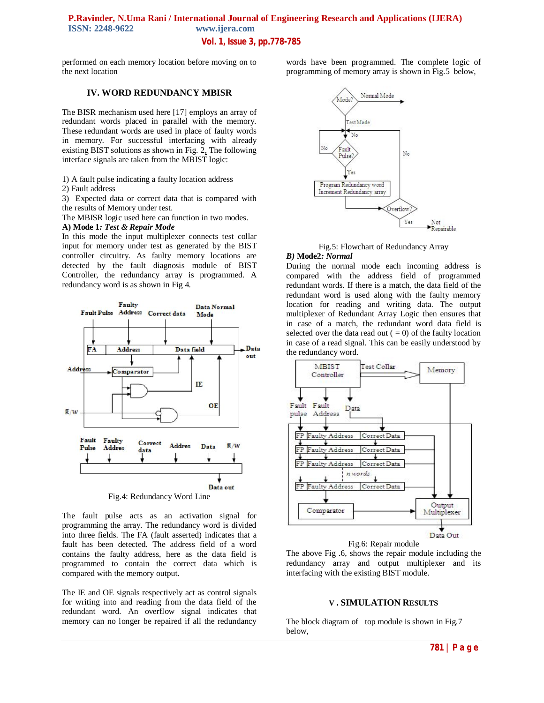# **P.Ravinder, N.Uma Rani / International Journal of Engineering Research and Applications (IJERA)**  www.ijera.com **Vol. 1, Issue 3, pp.778-785**

performed on each memory location before moving on to the next location

#### **IV. WORD REDUNDANCY MBISR**

The BISR mechanism used here [17] employs an array of redundant words placed in parallel with the memory. These redundant words are used in place of faulty words in memory. For successful interfacing with already existing BIST solutions as shown in Fig. 2, The following interface signals are taken from the MBIST logic:

1) A fault pulse indicating a faulty location address

2) Fault address

3) Expected data or correct data that is compared with the results of Memory under test.

The MBISR logic used here can function in two modes.

#### **A) Mode 1***: Test & Repair Mode*

In this mode the input multiplexer connects test collar input for memory under test as generated by the BIST controller circuitry. As faulty memory locations are detected by the fault diagnosis module of BIST Controller, the redundancy array is programmed. A redundancy word is as shown in Fig 4.



Fig.4: Redundancy Word Line

The fault pulse acts as an activation signal for programming the array. The redundancy word is divided into three fields. The FA (fault asserted) indicates that a fault has been detected. The address field of a word contains the faulty address, here as the data field is programmed to contain the correct data which is compared with the memory output.

The IE and OE signals respectively act as control signals for writing into and reading from the data field of the redundant word. An overflow signal indicates that memory can no longer be repaired if all the redundancy

words have been programmed. The complete logic of programming of memory array is shown in Fig.5 below,



Fig.5: Flowchart of Redundancy Array

#### *B)* **Mode2***: Normal*

During the normal mode each incoming address is compared with the address field of programmed redundant words. If there is a match, the data field of the redundant word is used along with the faulty memory location for reading and writing data. The output multiplexer of Redundant Array Logic then ensures that in case of a match, the redundant word data field is selected over the data read out  $( = 0)$  of the faulty location in case of a read signal. This can be easily understood by the redundancy word.



Fig.6: Repair module

The above Fig .6, shows the repair module including the redundancy array and output multiplexer and its interfacing with the existing BIST module.

#### **V . SIMULATION RESULTS**

The block diagram of top module is shown in Fig.7 below,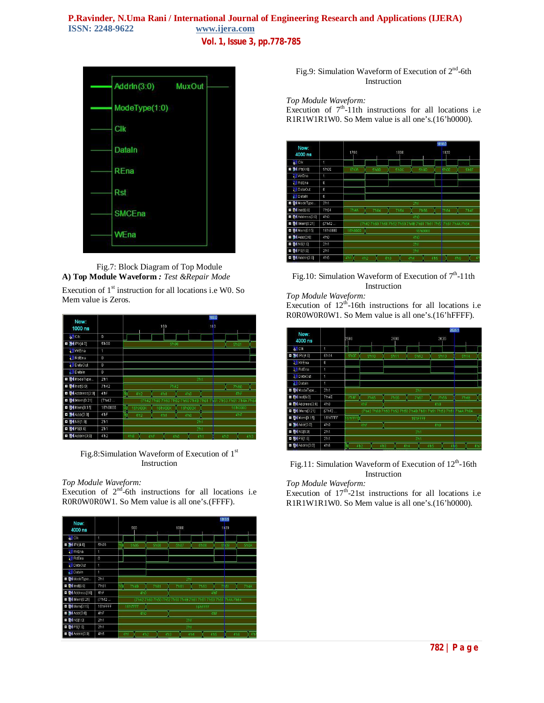# **P.Ravinder, N.Uma Rani / International Journal of Engineering Research and Applications (IJERA)** ISSN: 2248-9622 www.ijera.com www.ijera.com **Vol. 1, Issue 3, pp.778-785**



Fig.7: Block Diagram of Top Module **A) Top Module Waveform** *: Test &Repair Mode*

Execution of  $1<sup>st</sup>$  instruction for all locations i.e W0. So Mem value is Zeros.

|                                   |                 |                                                       | 180.0                               |
|-----------------------------------|-----------------|-------------------------------------------------------|-------------------------------------|
| Now:<br>1000 ns                   |                 | 160                                                   | 180                                 |
| $\frac{1}{2}$ [ $\frac{1}{2}$ CIk | $\theta$        |                                                       |                                     |
| 表4 IPtr[4:0]<br>H                 | 5100            | 5/h00                                                 | 5'h01                               |
| <b>TI</b> WiEna                   | 1               |                                                       |                                     |
| <b>All</b> RdEna                  | $\theta$        |                                                       |                                     |
| <b>All</b> DataOut                | $\theta$        |                                                       |                                     |
| <b>J</b> Il Datain                | $\overline{0}$  |                                                       |                                     |
| ModeType<br>Ŧ                     | 2 <sub>h1</sub> | 2 <sub>h1</sub>                                       |                                     |
| <b>图</b> Inst[6:0]<br>Ŧ           | Th42            | 7 h 42                                                | <b>7'h60</b>                        |
| MAddress[3:0]<br>E                | 4hF             | 4 <sub>h2</sub><br>4 <sup>h1</sup><br>4h0             | 4 <sup>hF</sup>                     |
| 图 (IMem[0:21]<br>Ŧ                | ${7h42}$        | {7h42 7h60 7h50 7h52<br>h R 1                         | i51 7 h53<br>7/h51<br>7 h4A 7 h64   |
| <b>64</b> Mem[0:15]<br>Ŧ          | 1610000         | 16'hX00X<br>16'hX00X<br>16'h000X                      | 16/h0000                            |
| <b>图4 Addr[3:0]</b><br>Ŧ          | 4hF             | 4 <sub>h2</sub><br>4 <sup>h1</sup><br>4 <sub>h0</sub> | 4 <sup>hF</sup>                     |
| <b>64 NS[1:0]</b><br>E            | 2 <sub>h1</sub> | 2 <sub>h1</sub>                                       |                                     |
| <b>□ 图4 PS[1:0]</b>               | 2 <sub>h1</sub> | 2 <sup>th1</sup>                                      |                                     |
| □ 54 Addrin[3:0]                  | 4h2             | 4 hE<br>4 h0<br>4 <sub>DF</sub><br>4 h 1              | 4 <sub>h3</sub><br>4 <sup>h</sup> 2 |

Fig.8:Simulation Waveform of Execution of 1<sup>st</sup> Instruction

#### *Top Module Waveform:*

Execution of  $2<sup>nd</sup>$ -6th instructions for all locations i.e R0R0W0R0W1. So Mem value is all one's.(FFFF).

| Now:<br>4000 ns              |                  |      | 980             |                 |                                            |     | 1000         |                 |          |                 | 1019.5<br>1020                 |      |                |
|------------------------------|------------------|------|-----------------|-----------------|--------------------------------------------|-----|--------------|-----------------|----------|-----------------|--------------------------------|------|----------------|
| <b>All</b> CIK               | í                |      |                 |                 |                                            |     |              |                 |          |                 |                                |      |                |
| 74 (Ptr[4:0)<br>Ŧ            | 5'h09            |      | 5105            |                 | 5106                                       |     | 5/h07        |                 | 5'h08    |                 | 51109                          |      | 5 h0A          |
| <b>ill</b> WrEna             | п                |      |                 |                 |                                            |     |              |                 |          |                 |                                |      |                |
| <b>ill</b> RdEna             | $\theta$         |      |                 |                 |                                            |     |              |                 |          |                 |                                |      |                |
| <b>ill</b> DataOut           | 1                |      |                 |                 |                                            |     |              |                 |          |                 |                                |      |                |
| <b>JI</b> Datain             | í                |      |                 |                 |                                            |     |              |                 |          |                 |                                |      |                |
| <b>D</b> of ModeType         | 2 <sup>th1</sup> |      |                 |                 |                                            |     |              | 2 <sub>h1</sub> |          |                 |                                |      |                |
| <b>□ 示</b> (inst[6:0]        | 7 <sup>h51</sup> | 6    | <b>7'h4B</b>    |                 | 7 <sup>n</sup> 61                          |     | <b>7'h51</b> |                 | 7'h53    |                 | 7151                           |      | 7h4A           |
| <b>□ 7 4 Address[3.0]</b>    | 4hF              |      |                 | 4 h0            |                                            |     |              |                 |          | 4 <sub>hF</sub> |                                |      |                |
| <b>64</b> Mem [0:21]<br>Ξ    | ${7n42}$         |      |                 |                 | {7'h42 7'h60 7'h50 7'h52 7'h50 7'h4B 7'h61 |     |              |                 |          |                 | 7/h51 7/h53 7/h51 7/h4A 7/h64. |      |                |
| <b>□ 2</b> Mem[0:15]         | 16'hFFFF         |      | <b>16'h7FFF</b> |                 |                                            |     |              |                 | 16'hFFFF |                 |                                |      |                |
| <b>ロ 別4 Addr[3:0]</b>        | 4 <sup>hF</sup>  |      |                 | 4 h0            |                                            |     |              |                 |          | 4 <sup>hF</sup> |                                |      |                |
| <b>EI 54 NS[1:0]</b>         | 2 <sup>n</sup> 1 |      |                 |                 |                                            |     |              | 2 <sub>h1</sub> |          |                 |                                |      |                |
| <b>□ 图 PS[1:0]</b>           | 2 <sup>th1</sup> |      |                 |                 |                                            |     |              | 2 <sub>h1</sub> |          |                 |                                |      |                |
| <b>El &amp; Addrin</b> [3:0] | 4 <sub>h5</sub>  | 4'h1 |                 | 4 <sup>h2</sup> |                                            | 4h3 |              | 4/h4            |          | 4 <sub>h5</sub> |                                | 4 h6 | 4 <sub>h</sub> |

Fig.9: Simulation Waveform of Execution of 2<sup>nd</sup>-6th Instruction

#### *Top Module Waveform:*

Execution of  $7<sup>th</sup>$ -11th instructions for all locations i.e R1R1W1R1W0. So Mem value is all one's.(16'h0000).



Fig.10: Simulation Waveform of Execution of  $7<sup>th</sup>$ -11th Instruction

#### *Top Module Waveform:*

Execution of  $12<sup>th</sup>$ -16th instructions for all locations i.e R0R0W0R0W1. So Mem value is all one's.(16'hFFFF).



Fig.11: Simulation Waveform of Execution of  $12<sup>th</sup>$ -16th Instruction

*Top Module Waveform:*

Execution of  $17<sup>th</sup>$ -21st instructions for all locations i.e R1R1W1R1W0. So Mem value is all one's.(16'h0000).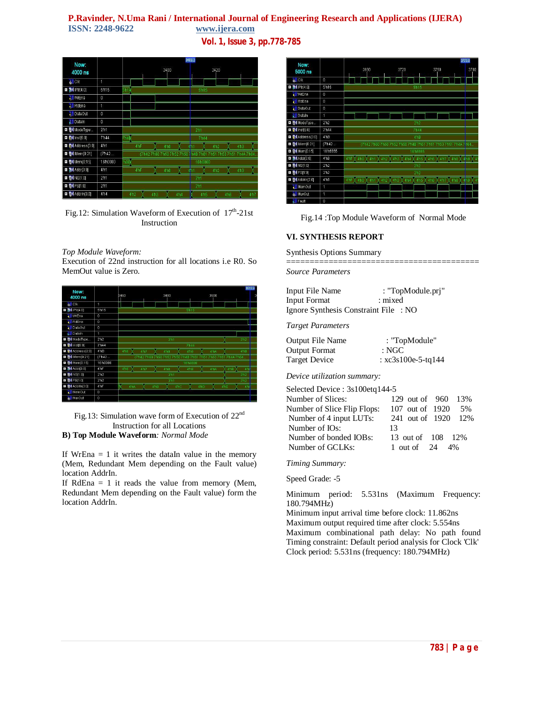# **P.Ravinder, N.Uma Rani** / **International Journal of Engineering Research and Applications (IJERA) ISSN:** 2248-9622 **www.ijera.com** www.ijera.com

**Vol. 1, Issue 3, pp.778-785**

| Now:                    |                     | 3409.3                                                                          |  |  |  |  |  |  |  |  |  |  |
|-------------------------|---------------------|---------------------------------------------------------------------------------|--|--|--|--|--|--|--|--|--|--|
| 4000 ns                 |                     | 3400<br>3420                                                                    |  |  |  |  |  |  |  |  |  |  |
| <b>d</b> [ Clk          | 1                   |                                                                                 |  |  |  |  |  |  |  |  |  |  |
| <b>数1Ptr[4:0]</b><br>Ŧ  | 5115                | 5h15                                                                            |  |  |  |  |  |  |  |  |  |  |
| <b>TI</b> WrEna         | 0                   |                                                                                 |  |  |  |  |  |  |  |  |  |  |
| <b>TIRdEna</b>          | 1                   |                                                                                 |  |  |  |  |  |  |  |  |  |  |
| 11 DataOut              | 0                   |                                                                                 |  |  |  |  |  |  |  |  |  |  |
| <b>JII</b> Datain       | 0                   |                                                                                 |  |  |  |  |  |  |  |  |  |  |
| ModeType<br>Ŧ           | 2 <sub>h1</sub>     | 2 <sub>11</sub>                                                                 |  |  |  |  |  |  |  |  |  |  |
| $M$ Inst(6:0)<br>Ŧ      | 7h44                | m4R<br><b>7'h44</b>                                                             |  |  |  |  |  |  |  |  |  |  |
| MAddress[3:0]<br>Ŧ      | 4 <sup>h1</sup>     | 4 hF<br>4h0<br>4112<br>4h3<br>4 <sub>h</sub>                                    |  |  |  |  |  |  |  |  |  |  |
| <b>MIMem[0:21]</b><br>Ŧ | ${7h42}$            | (7/h42 7/h60 7/h50 7/h52 7/h50<br>7h537h517h4A7h64<br>7h4B 7h61<br><b>7'h51</b> |  |  |  |  |  |  |  |  |  |  |
| Mem[0:15]<br>Ŧ          | 16 <sup>h0000</sup> | 'h00)<br><b>16/h0000</b>                                                        |  |  |  |  |  |  |  |  |  |  |
| <b>W</b> Addr[3:0]<br>Ŧ | 4 h 1               | 4 <sup>hF</sup><br>4h0<br>4h3<br>4 h <sub>2</sub><br>4 <sub>h1</sub>            |  |  |  |  |  |  |  |  |  |  |
| $54$ NS[1:0]<br>Ŧ       | 2 <sup>n1</sup>     | 2 <sub>h1</sub>                                                                 |  |  |  |  |  |  |  |  |  |  |
| $54$ PS[1:0]<br>Ŧ       | 2 <sup>th1</sup>    | 2 <sup>th1</sup>                                                                |  |  |  |  |  |  |  |  |  |  |
| 6 Addrin [3:0]<br>Ŧ     | 4 <sup>n</sup> 4    | 4h2<br>4 h 7<br>4h3<br>4 h4<br>4 <sup>h6</sup><br>4 <sup>h5</sup>               |  |  |  |  |  |  |  |  |  |  |

Fig.12: Simulation Waveform of Execution of  $17<sup>th</sup>$ -21st Instruction

#### *Top Module Waveform:*

Execution of 22nd instruction for all locations i.e R0. So MemOut value is Zero.

| Now:<br>4000 ns                           |                   | 3460                   |                                     |     | 3480             |                 |                 |                 | 3500             |                 |                          | 3515.9<br>в |
|-------------------------------------------|-------------------|------------------------|-------------------------------------|-----|------------------|-----------------|-----------------|-----------------|------------------|-----------------|--------------------------|-------------|
| oll Clk                                   | 4                 |                        |                                     |     |                  |                 |                 |                 |                  |                 |                          |             |
| $\Box$ $\Box$ $\Box$ $\Box$ $\Box$ $\Box$ | 5115              |                        |                                     |     |                  |                 | 5/h15           |                 |                  |                 |                          |             |
| <b>WIEna</b>                              | $\bf{0}$          |                        |                                     |     |                  |                 |                 |                 |                  |                 |                          |             |
| <b>TI</b> RdEna                           | $\theta$          |                        |                                     |     |                  |                 |                 |                 |                  |                 |                          |             |
| <b>Til DataOut</b>                        | $\theta$          |                        |                                     |     |                  |                 |                 |                 |                  |                 |                          |             |
| <b>III</b> Datain                         | 1                 |                        |                                     |     |                  |                 |                 |                 |                  |                 |                          |             |
| <b>D</b> & ModeType                       | 2 <sub>n2</sub>   |                        |                                     |     | 2 <sup>n</sup> 1 |                 |                 |                 |                  |                 | 2 <sub>n2</sub>          |             |
| <b>n</b> 74 Inst(6:0)                     | 7 <sup>h44</sup>  |                        |                                     |     |                  |                 | Th44            |                 |                  |                 |                          |             |
| D 04 Address [3:0]                        | 4 <sub>h</sub> B  | 476                    | 4h7                                 |     | 4 <sub>h8</sub>  |                 | 4 h9            |                 | 4 hA             |                 | 4 <sub>h</sub> B         |             |
| □ 图 IMem[0:21]                            | (T <sup>h42</sup> |                        | (7h42 7h60 7h50 7h52 7h50 7h4B 7h61 |     |                  |                 |                 |                 |                  |                 | 7h51 7h53 7h51 7h4A 7h64 |             |
| <b>a</b> & Mem(0:15)                      | <b>1610000</b>    |                        |                                     |     |                  |                 | 16'h0000        |                 |                  |                 |                          |             |
| □ <mark>表</mark> Addr[3:0]                | 4 <sup>hF</sup>   | 4716                   | 4 <sub>h7</sub>                     |     | 4h8              |                 | 4 <sub>h9</sub> |                 | 4 <sub>h</sub> A | 4 <sup>hE</sup> | 4 <sub>h</sub>           |             |
| <b>EI 54 NS[1:0]</b>                      | 2 <sub>n2</sub>   |                        |                                     |     | 2 <sub>h1</sub>  |                 |                 |                 |                  |                 | 2 <sub>h2</sub>          |             |
| <b>D M</b> PS[1:0]                        | 2 <sub>h2</sub>   | 2 <sub>h1</sub><br>2h2 |                                     |     |                  |                 |                 |                 |                  |                 |                          |             |
| D & Addrin [3:0]                          | 4ThF              | ŸĶ<br>4 <sup>hA</sup>  |                                     | 470 |                  | 4 <sub>nc</sub> |                 | 4 <sub>hD</sub> |                  | 4 <sup>hE</sup> | 4 <sub>h</sub>           |             |
| <b>MemOut</b>                             | $\theta$          |                        |                                     |     |                  |                 |                 |                 |                  |                 |                          |             |
| MuxOut                                    | $\bf{0}$          |                        |                                     |     |                  |                 |                 |                 |                  |                 |                          |             |
|                                           |                   |                        |                                     |     |                  |                 |                 |                 |                  |                 |                          |             |

Fig.13: Simulation wave form of Execution of 22nd Instruction for all Locations **B) Top Module Waveform***: Normal Mode*

If WrEna  $= 1$  it writes the dataIn value in the memory (Mem, Redundant Mem depending on the Fault value) location AddrIn.

If RdEna  $= 1$  it reads the value from memory (Mem, Redundant Mem depending on the Fault value) form the location AddrIn.



Fig.14 :Top Module Waveform of Normal Mode

# **VI. SYNTHESIS REPORT**

Synthesis Options Summary

========================================= *Source Parameters*

| Input File Name                       | : "TopModule.pri" |
|---------------------------------------|-------------------|
| Input Format                          | : mixed           |
| Ignore Synthesis Constraint File : NO |                   |

*Target Parameters*

| Output File Name | : "TopModule"        |
|------------------|----------------------|
| Output Format    | : NGC                |
| Target Device    | : $xc3s100e-5-tq144$ |

*Device utilization summary:*

Selected Device : 3s100etq144-5

| Number of Slices:           | 129 out of 960 13%          |
|-----------------------------|-----------------------------|
| Number of Slice Flip Flops: | 107 out of 1920<br>.5%      |
| Number of 4 input LUTs:     | 241 out of 1920 12%         |
| Number of IOs:              | 13                          |
| Number of bonded IOBs:      | 13 out of 108 12%           |
| Number of GCLKs:            | 1 out of $24 \frac{4\%}{6}$ |
|                             |                             |

*Timing Summary:*

Speed Grade: -5

Minimum period: 5.531ns (Maximum Frequency: 180.794MHz)

Minimum input arrival time before clock: 11.862ns Maximum output required time after clock: 5.554ns Maximum combinational path delay: No path found Timing constraint: Default period analysis for Clock 'Clk' Clock period: 5.531ns (frequency: 180.794MHz)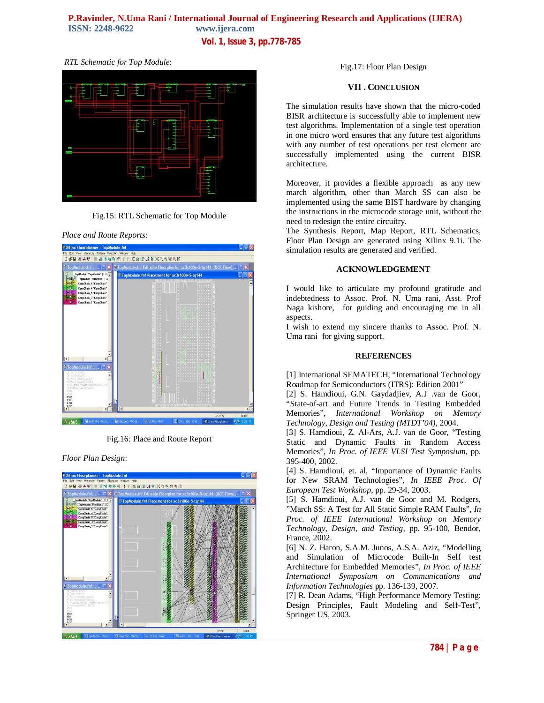# **P.Ravinder, N.Uma Rani / International Journal of Engineering Research and Applications (IJERA)**  www.ijera.com

**Vol. 1, Issue 3, pp.778-785**

#### *RTL Schematic for Top Module*:



Fig.15: RTL Schematic for Top Module

#### *Place and Route Reports*:



Fig.16: Place and Route Report

*Floor Plan Design*:



Fig.17: Floor Plan Design

#### **VII . CONCLUSION**

The simulation results have shown that the micro-coded BISR architecture is successfully able to implement new test algorithms. Implementation of a single test operation in one micro word ensures that any future test algorithms with any number of test operations per test element are successfully implemented using the current BISR architecture.

Moreover, it provides a flexible approach as any new march algorithm, other than March SS can also be implemented using the same BIST hardware by changing the instructions in the microcode storage unit, without the need to redesign the entire circuitry.

The Synthesis Report, Map Report, RTL Schematics, Floor Plan Design are generated using Xilinx 9.1i. The simulation results are generated and verified.

#### **ACKNOWLEDGEMENT**

I would like to articulate my profound gratitude and indebtedness to Assoc. Prof. N. Uma rani, Asst. Prof Naga kishore, for guiding and encouraging me in all aspects.

I wish to extend my sincere thanks to Assoc. Prof. N. Uma rani for giving support.

#### **REFERENCES**

[1] International SEMATECH, "International Technology Roadmap for Semiconductors (ITRS): Edition 2001"

[2] S. Hamdioui, G.N. Gaydadjiev, A.J .van de Goor, "State-of-art and Future Trends in Testing Embedded Memories", *International Workshop on Memory Technology, Design and Testing (MTDT'04),* 2004.

[3] S. Hamdioui, Z. Al-Ars, A.J. van de Goor, "Testing Static and Dynamic Faults in Random Access Memories", *In Proc. of IEEE VLSI Test Symposium*, pp. 395-400, 2002.

[4] S. Hamdioui, et. al, "Importance of Dynamic Faults for New SRAM Technologies", *In IEEE Proc. Of European Test Workshop*, pp. 29-34, 2003.

[5] S. Hamdioui, A.J. van de Goor and M. Rodgers, "March SS: A Test for All Static Simple RAM Faults", *In Proc. of IEEE International Workshop on Memory Technology, Design, and Testing*, pp. 95-100, Bendor, France, 2002.

[6] N. Z. Haron, S.A.M. Junos, A.S.A. Aziz, "Modelling and Simulation of Microcode Built-In Self test Architecture for Embedded Memories", *In Proc. of IEEE International Symposium on Communications and Information Technologies* pp. 136-139, 2007.

[7] R. Dean Adams, "High Performance Memory Testing: Design Principles, Fault Modeling and Self-Test", Springer US, 2003.